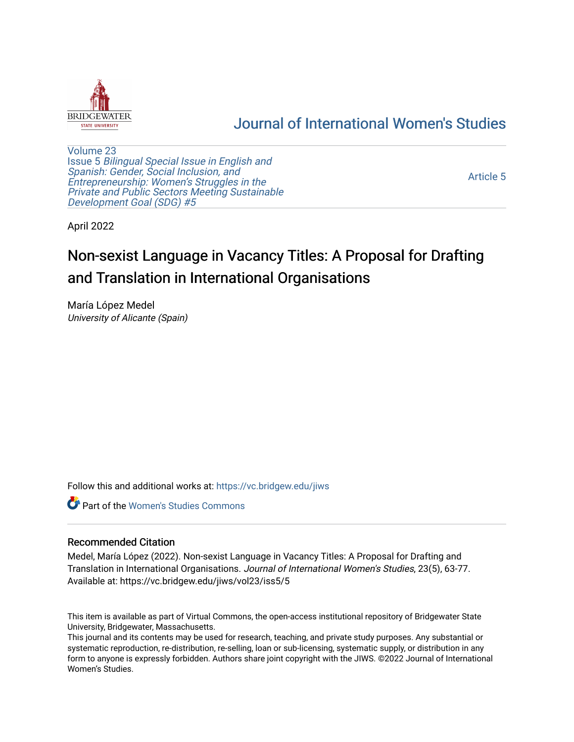

# [Journal of International Women's Studies](https://vc.bridgew.edu/jiws)

[Volume 23](https://vc.bridgew.edu/jiws/vol23) Issue 5 [Bilingual Special Issue in English and](https://vc.bridgew.edu/jiws/vol23/iss5)  [Spanish: Gender, Social Inclusion, and](https://vc.bridgew.edu/jiws/vol23/iss5)  [Entrepreneurship: Women's Struggles in the](https://vc.bridgew.edu/jiws/vol23/iss5)  [Private and Public Sectors Meeting Sustainable](https://vc.bridgew.edu/jiws/vol23/iss5) [Development Goal \(SDG\) #5](https://vc.bridgew.edu/jiws/vol23/iss5) 

[Article 5](https://vc.bridgew.edu/jiws/vol23/iss5/5) 

April 2022

# Non-sexist Language in Vacancy Titles: A Proposal for Drafting and Translation in International Organisations

María López Medel University of Alicante (Spain)

Follow this and additional works at: [https://vc.bridgew.edu/jiws](https://vc.bridgew.edu/jiws?utm_source=vc.bridgew.edu%2Fjiws%2Fvol23%2Fiss5%2F5&utm_medium=PDF&utm_campaign=PDFCoverPages)

**C** Part of the Women's Studies Commons

#### Recommended Citation

Medel, María López (2022). Non-sexist Language in Vacancy Titles: A Proposal for Drafting and Translation in International Organisations. Journal of International Women's Studies, 23(5), 63-77. Available at: https://vc.bridgew.edu/jiws/vol23/iss5/5

This item is available as part of Virtual Commons, the open-access institutional repository of Bridgewater State University, Bridgewater, Massachusetts.

This journal and its contents may be used for research, teaching, and private study purposes. Any substantial or systematic reproduction, re-distribution, re-selling, loan or sub-licensing, systematic supply, or distribution in any form to anyone is expressly forbidden. Authors share joint copyright with the JIWS. ©2022 Journal of International Women's Studies.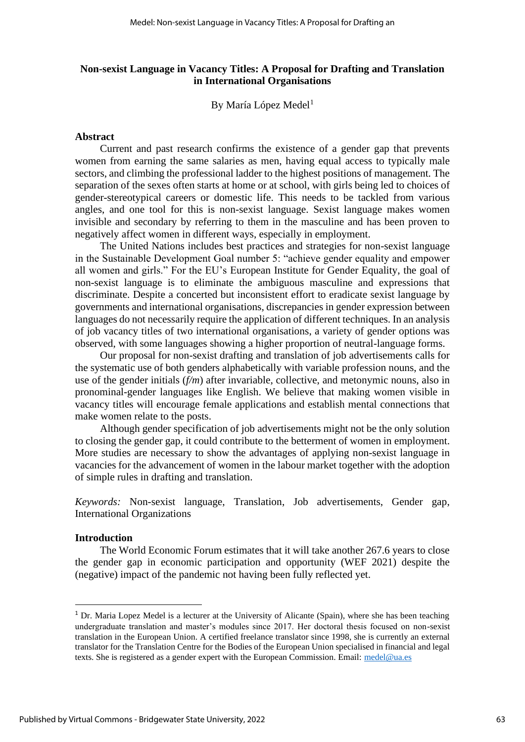## **Non-sexist Language in Vacancy Titles: A Proposal for Drafting and Translation in International Organisations**

By María López Medel<sup>1</sup>

#### **Abstract**

Current and past research confirms the existence of a gender gap that prevents women from earning the same salaries as men, having equal access to typically male sectors, and climbing the professional ladder to the highest positions of management. The separation of the sexes often starts at home or at school, with girls being led to choices of gender-stereotypical careers or domestic life. This needs to be tackled from various angles, and one tool for this is non-sexist language. Sexist language makes women invisible and secondary by referring to them in the masculine and has been proven to negatively affect women in different ways, especially in employment.

The United Nations includes best practices and strategies for non-sexist language in the Sustainable Development Goal number 5: "achieve gender equality and empower all women and girls." For the EU's European Institute for Gender Equality, the goal of non-sexist language is to eliminate the ambiguous masculine and expressions that discriminate. Despite a concerted but inconsistent effort to eradicate sexist language by governments and international organisations, discrepancies in gender expression between languages do not necessarily require the application of different techniques. In an analysis of job vacancy titles of two international organisations, a variety of gender options was observed, with some languages showing a higher proportion of neutral-language forms.

Our proposal for non-sexist drafting and translation of job advertisements calls for the systematic use of both genders alphabetically with variable profession nouns, and the use of the gender initials (*f/m*) after invariable, collective, and metonymic nouns, also in pronominal-gender languages like English. We believe that making women visible in vacancy titles will encourage female applications and establish mental connections that make women relate to the posts.

Although gender specification of job advertisements might not be the only solution to closing the gender gap, it could contribute to the betterment of women in employment. More studies are necessary to show the advantages of applying non-sexist language in vacancies for the advancement of women in the labour market together with the adoption of simple rules in drafting and translation.

*Keywords:* Non-sexist language, Translation, Job advertisements, Gender gap, International Organizations

#### **Introduction**

The World Economic Forum estimates that it will take another 267.6 years to close the gender gap in economic participation and opportunity (WEF 2021) despite the (negative) impact of the pandemic not having been fully reflected yet.

 $1$  Dr. Maria Lopez Medel is a lecturer at the University of Alicante (Spain), where she has been teaching undergraduate translation and master's modules since 2017. Her doctoral thesis focused on non-sexist translation in the European Union. A certified freelance translator since 1998, she is currently an external translator for the Translation Centre for the Bodies of the European Union specialised in financial and legal texts. She is registered as a gender expert with the European Commission. Email: [medel@ua.es](mailto:medel@ua.es)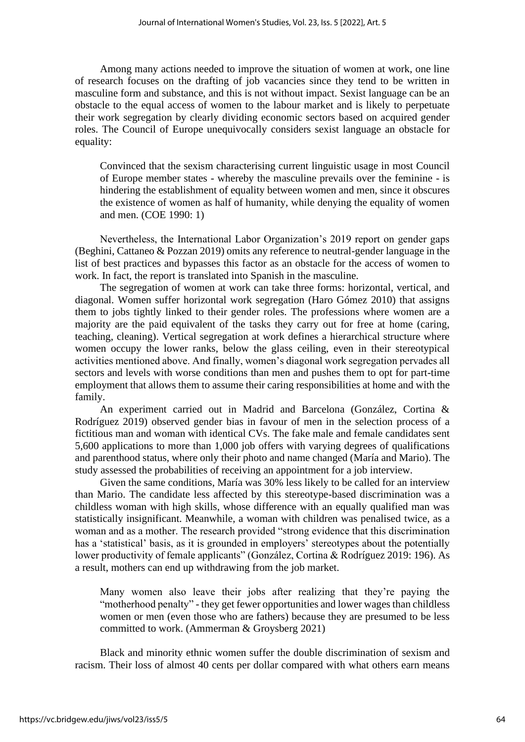Among many actions needed to improve the situation of women at work, one line of research focuses on the drafting of job vacancies since they tend to be written in masculine form and substance, and this is not without impact. Sexist language can be an obstacle to the equal access of women to the labour market and is likely to perpetuate their work segregation by clearly dividing economic sectors based on acquired gender roles. The Council of Europe unequivocally considers sexist language an obstacle for equality:

Convinced that the sexism characterising current linguistic usage in most Council of Europe member states - whereby the masculine prevails over the feminine - is hindering the establishment of equality between women and men, since it obscures the existence of women as half of humanity, while denying the equality of women and men. (COE 1990: 1)

Nevertheless, the International Labor Organization's 2019 report on gender gaps (Beghini, Cattaneo & Pozzan 2019) omits any reference to neutral-gender language in the list of best practices and bypasses this factor as an obstacle for the access of women to work. In fact, the report is translated into Spanish in the masculine.

The segregation of women at work can take three forms: horizontal, vertical, and diagonal. Women suffer horizontal work segregation (Haro Gómez 2010) that assigns them to jobs tightly linked to their gender roles. The professions where women are a majority are the paid equivalent of the tasks they carry out for free at home (caring, teaching, cleaning). Vertical segregation at work defines a hierarchical structure where women occupy the lower ranks, below the glass ceiling, even in their stereotypical activities mentioned above. And finally, women's diagonal work segregation pervades all sectors and levels with worse conditions than men and pushes them to opt for part-time employment that allows them to assume their caring responsibilities at home and with the family.

An experiment carried out in Madrid and Barcelona (González, Cortina & Rodríguez 2019) observed gender bias in favour of men in the selection process of a fictitious man and woman with identical CVs. The fake male and female candidates sent 5,600 applications to more than 1,000 job offers with varying degrees of qualifications and parenthood status, where only their photo and name changed (María and Mario). The study assessed the probabilities of receiving an appointment for a job interview.

Given the same conditions, María was 30% less likely to be called for an interview than Mario. The candidate less affected by this stereotype-based discrimination was a childless woman with high skills, whose difference with an equally qualified man was statistically insignificant. Meanwhile, a woman with children was penalised twice, as a woman and as a mother. The research provided "strong evidence that this discrimination has a 'statistical' basis, as it is grounded in employers' stereotypes about the potentially lower productivity of female applicants" (González, Cortina & Rodríguez 2019: 196). As a result, mothers can end up withdrawing from the job market.

Many women also leave their jobs after realizing that they're paying the "motherhood penalty" - they get fewer opportunities and lower wages than childless women or men (even those who are fathers) because they are presumed to be less committed to work. (Ammerman & Groysberg 2021)

Black and minority ethnic women suffer the double discrimination of sexism and racism. Their loss of almost 40 cents per dollar compared with what others earn means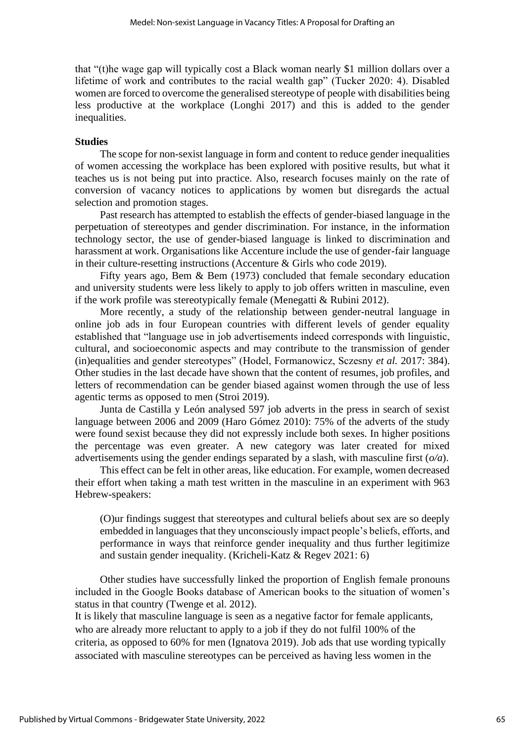that "(t)he wage gap will typically cost a Black woman nearly \$1 million dollars over a lifetime of work and contributes to the racial wealth gap" (Tucker 2020: 4). Disabled women are forced to overcome the generalised stereotype of people with disabilities being less productive at the workplace (Longhi 2017) and this is added to the gender inequalities.

#### **Studies**

The scope for non-sexist language in form and content to reduce gender inequalities of women accessing the workplace has been explored with positive results, but what it teaches us is not being put into practice. Also, research focuses mainly on the rate of conversion of vacancy notices to applications by women but disregards the actual selection and promotion stages.

Past research has attempted to establish the effects of gender-biased language in the perpetuation of stereotypes and gender discrimination. For instance, in the information technology sector, the use of gender-biased language is linked to discrimination and harassment at work. Organisations like Accenture include the use of gender-fair language in their culture-resetting instructions (Accenture & Girls who code 2019).

Fifty years ago, Bem & Bem (1973) concluded that female secondary education and university students were less likely to apply to job offers written in masculine, even if the work profile was stereotypically female (Menegatti & Rubini 2012).

More recently, a study of the relationship between gender-neutral language in online job ads in four European countries with different levels of gender equality established that "language use in job advertisements indeed corresponds with linguistic, cultural, and socioeconomic aspects and may contribute to the transmission of gender (in)equalities and gender stereotypes" (Hodel, Formanowicz, Sczesny *et al.* 2017: 384). Other studies in the last decade have shown that the content of resumes, job profiles, and letters of recommendation can be gender biased against women through the use of less agentic terms as opposed to men (Stroi 2019).

Junta de Castilla y León analysed 597 job adverts in the press in search of sexist language between 2006 and 2009 (Haro Gómez 2010): 75% of the adverts of the study were found sexist because they did not expressly include both sexes. In higher positions the percentage was even greater. A new category was later created for mixed advertisements using the gender endings separated by a slash, with masculine first (*o/a*).

This effect can be felt in other areas, like education. For example, women decreased their effort when taking a math test written in the masculine in an experiment with 963 Hebrew-speakers:

(O)ur findings suggest that stereotypes and cultural beliefs about sex are so deeply embedded in languages that they unconsciously impact people's beliefs, efforts, and performance in ways that reinforce gender inequality and thus further legitimize and sustain gender inequality. (Kricheli-Katz & Regev 2021: 6)

Other studies have successfully linked the proportion of English female pronouns included in the Google Books database of American books to the situation of women's status in that country (Twenge et al. 2012).

It is likely that masculine language is seen as a negative factor for female applicants, who are already more reluctant to apply to a job if they do not fulfil 100% of the criteria, as opposed to 60% for men (Ignatova 2019). Job ads that use wording typically associated with masculine stereotypes can be perceived as having less women in the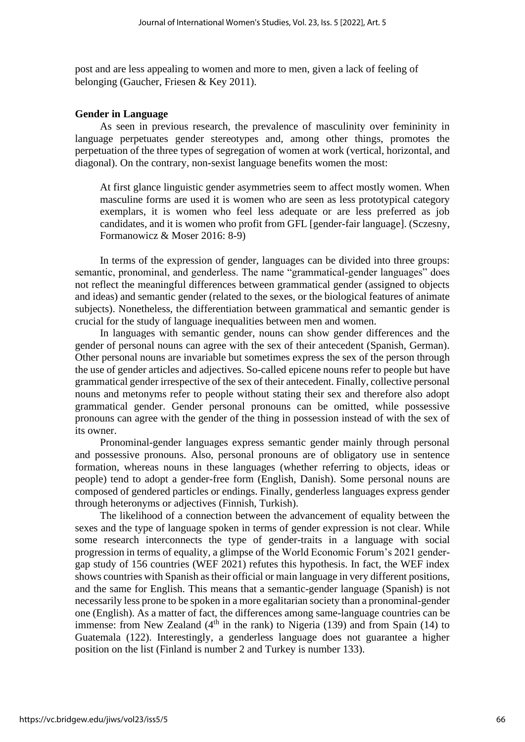post and are less appealing to women and more to men, given a lack of feeling of belonging (Gaucher, Friesen & Key 2011).

#### **Gender in Language**

As seen in previous research, the prevalence of masculinity over femininity in language perpetuates gender stereotypes and, among other things, promotes the perpetuation of the three types of segregation of women at work (vertical, horizontal, and diagonal). On the contrary, non-sexist language benefits women the most:

At first glance linguistic gender asymmetries seem to affect mostly women. When masculine forms are used it is women who are seen as less prototypical category exemplars, it is women who feel less adequate or are less preferred as job candidates, and it is women who profit from GFL [gender-fair language]. (Sczesny, Formanowicz & Moser 2016: 8-9)

In terms of the expression of gender, languages can be divided into three groups: semantic, pronominal, and genderless. The name "grammatical-gender languages" does not reflect the meaningful differences between grammatical gender (assigned to objects and ideas) and semantic gender (related to the sexes, or the biological features of animate subjects). Nonetheless, the differentiation between grammatical and semantic gender is crucial for the study of language inequalities between men and women.

In languages with semantic gender, nouns can show gender differences and the gender of personal nouns can agree with the sex of their antecedent (Spanish, German). Other personal nouns are invariable but sometimes express the sex of the person through the use of gender articles and adjectives. So-called epicene nouns refer to people but have grammatical gender irrespective of the sex of their antecedent. Finally, collective personal nouns and metonyms refer to people without stating their sex and therefore also adopt grammatical gender. Gender personal pronouns can be omitted, while possessive pronouns can agree with the gender of the thing in possession instead of with the sex of its owner.

Pronominal-gender languages express semantic gender mainly through personal and possessive pronouns. Also, personal pronouns are of obligatory use in sentence formation, whereas nouns in these languages (whether referring to objects, ideas or people) tend to adopt a gender-free form (English, Danish). Some personal nouns are composed of gendered particles or endings. Finally, genderless languages express gender through heteronyms or adjectives (Finnish, Turkish).

The likelihood of a connection between the advancement of equality between the sexes and the type of language spoken in terms of gender expression is not clear. While some research interconnects the type of gender-traits in a language with social progression in terms of equality, a glimpse of the World Economic Forum's 2021 gendergap study of 156 countries (WEF 2021) refutes this hypothesis. In fact, the WEF index shows countries with Spanish as their official or main language in very different positions, and the same for English. This means that a semantic-gender language (Spanish) is not necessarily less prone to be spoken in a more egalitarian society than a pronominal-gender one (English). As a matter of fact, the differences among same-language countries can be immense: from New Zealand  $(4<sup>th</sup>$  in the rank) to Nigeria (139) and from Spain (14) to Guatemala (122). Interestingly, a genderless language does not guarantee a higher position on the list (Finland is number 2 and Turkey is number 133).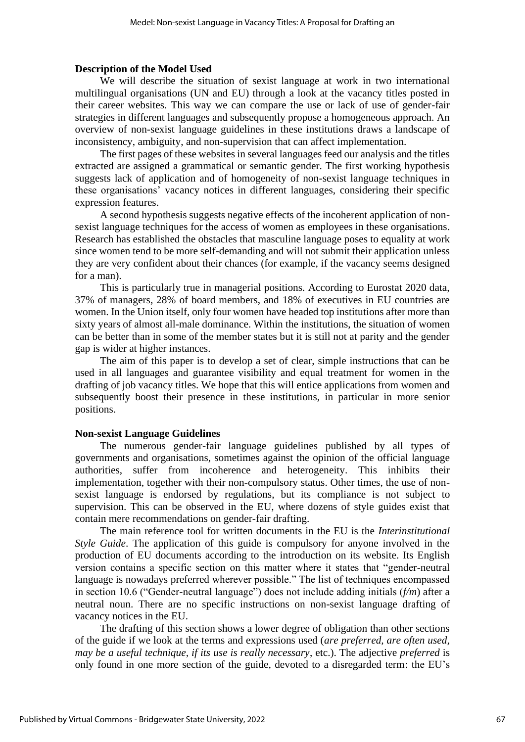#### **Description of the Model Used**

We will describe the situation of sexist language at work in two international multilingual organisations (UN and EU) through a look at the vacancy titles posted in their career websites. This way we can compare the use or lack of use of gender-fair strategies in different languages and subsequently propose a homogeneous approach. An overview of non-sexist language guidelines in these institutions draws a landscape of inconsistency, ambiguity, and non-supervision that can affect implementation.

The first pages of these websites in several languages feed our analysis and the titles extracted are assigned a grammatical or semantic gender. The first working hypothesis suggests lack of application and of homogeneity of non-sexist language techniques in these organisations' vacancy notices in different languages, considering their specific expression features.

A second hypothesis suggests negative effects of the incoherent application of nonsexist language techniques for the access of women as employees in these organisations. Research has established the obstacles that masculine language poses to equality at work since women tend to be more self-demanding and will not submit their application unless they are very confident about their chances (for example, if the vacancy seems designed for a man).

This is particularly true in managerial positions. According to Eurostat 2020 data, 37% of managers, 28% of board members, and 18% of executives in EU countries are women. In the Union itself, only four women have headed top institutions after more than sixty years of almost all-male dominance. Within the institutions, the situation of women can be better than in some of the member states but it is still not at parity and the gender gap is wider at higher instances.

The aim of this paper is to develop a set of clear, simple instructions that can be used in all languages and guarantee visibility and equal treatment for women in the drafting of job vacancy titles. We hope that this will entice applications from women and subsequently boost their presence in these institutions, in particular in more senior positions.

#### **Non-sexist Language Guidelines**

The numerous gender-fair language guidelines published by all types of governments and organisations, sometimes against the opinion of the official language authorities, suffer from incoherence and heterogeneity. This inhibits their implementation, together with their non-compulsory status. Other times, the use of nonsexist language is endorsed by regulations, but its compliance is not subject to supervision. This can be observed in the EU, where dozens of style guides exist that contain mere recommendations on gender-fair drafting.

The main reference tool for written documents in the EU is the *Interinstitutional Style Guide*. The application of this guide is compulsory for anyone involved in the production of EU documents according to the introduction on its website. Its English version contains a specific section on this matter where it states that "gender-neutral language is nowadays preferred wherever possible." The list of techniques encompassed in section 10.6 ("Gender-neutral language") does not include adding initials (*f/m*) after a neutral noun. There are no specific instructions on non-sexist language drafting of vacancy notices in the EU.

The drafting of this section shows a lower degree of obligation than other sections of the guide if we look at the terms and expressions used (*are preferred, are often used, may be a useful technique, if its use is really necessary*, etc.). The adjective *preferred* is only found in one more section of the guide, devoted to a disregarded term: the EU's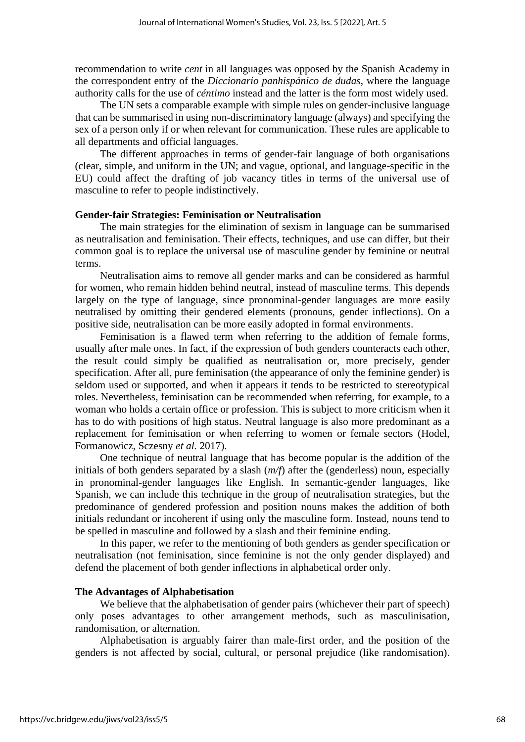recommendation to write *cent* in all languages was opposed by the Spanish Academy in the correspondent entry of the *Diccionario panhispánico de dudas*, where the language authority calls for the use of *céntimo* instead and the latter is the form most widely used.

The UN sets a comparable example with simple rules on gender-inclusive language that can be summarised in using non-discriminatory language (always) and specifying the sex of a person only if or when relevant for communication. These rules are applicable to all departments and official languages.

The different approaches in terms of gender-fair language of both organisations (clear, simple, and uniform in the UN; and vague, optional, and language-specific in the EU) could affect the drafting of job vacancy titles in terms of the universal use of masculine to refer to people indistinctively.

#### **Gender-fair Strategies: Feminisation or Neutralisation**

The main strategies for the elimination of sexism in language can be summarised as neutralisation and feminisation. Their effects, techniques, and use can differ, but their common goal is to replace the universal use of masculine gender by feminine or neutral terms.

Neutralisation aims to remove all gender marks and can be considered as harmful for women, who remain hidden behind neutral, instead of masculine terms. This depends largely on the type of language, since pronominal-gender languages are more easily neutralised by omitting their gendered elements (pronouns, gender inflections). On a positive side, neutralisation can be more easily adopted in formal environments.

Feminisation is a flawed term when referring to the addition of female forms, usually after male ones. In fact, if the expression of both genders counteracts each other, the result could simply be qualified as neutralisation or, more precisely, gender specification. After all, pure feminisation (the appearance of only the feminine gender) is seldom used or supported, and when it appears it tends to be restricted to stereotypical roles. Nevertheless, feminisation can be recommended when referring, for example, to a woman who holds a certain office or profession. This is subject to more criticism when it has to do with positions of high status. Neutral language is also more predominant as a replacement for feminisation or when referring to women or female sectors (Hodel, Formanowicz, Sczesny *et al.* 2017).

One technique of neutral language that has become popular is the addition of the initials of both genders separated by a slash (*m/f*) after the (genderless) noun, especially in pronominal-gender languages like English. In semantic-gender languages, like Spanish, we can include this technique in the group of neutralisation strategies, but the predominance of gendered profession and position nouns makes the addition of both initials redundant or incoherent if using only the masculine form. Instead, nouns tend to be spelled in masculine and followed by a slash and their feminine ending.

In this paper, we refer to the mentioning of both genders as gender specification or neutralisation (not feminisation, since feminine is not the only gender displayed) and defend the placement of both gender inflections in alphabetical order only.

#### **The Advantages of Alphabetisation**

We believe that the alphabetisation of gender pairs (whichever their part of speech) only poses advantages to other arrangement methods, such as masculinisation, randomisation, or alternation.

Alphabetisation is arguably fairer than male-first order, and the position of the genders is not affected by social, cultural, or personal prejudice (like randomisation).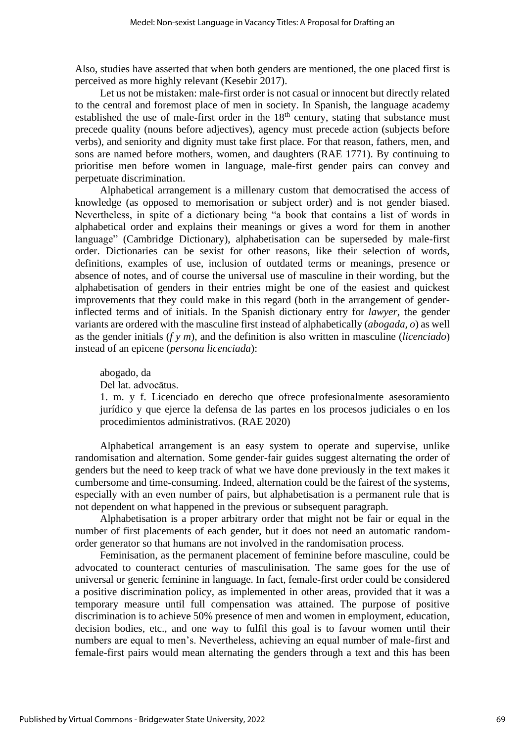Also, studies have asserted that when both genders are mentioned, the one placed first is perceived as more highly relevant (Kesebir 2017).

Let us not be mistaken: male-first order is not casual or innocent but directly related to the central and foremost place of men in society. In Spanish, the language academy established the use of male-first order in the  $18<sup>th</sup>$  century, stating that substance must precede quality (nouns before adjectives), agency must precede action (subjects before verbs), and seniority and dignity must take first place. For that reason, fathers, men, and sons are named before mothers, women, and daughters (RAE 1771). By continuing to prioritise men before women in language, male-first gender pairs can convey and perpetuate discrimination.

Alphabetical arrangement is a millenary custom that democratised the access of knowledge (as opposed to memorisation or subject order) and is not gender biased. Nevertheless, in spite of a dictionary being "a book that contains a list of words in alphabetical order and explains their meanings or gives a word for them in another language" (Cambridge Dictionary), alphabetisation can be superseded by male-first order. Dictionaries can be sexist for other reasons, like their selection of words, definitions, examples of use, inclusion of outdated terms or meanings, presence or absence of notes, and of course the universal use of masculine in their wording, but the alphabetisation of genders in their entries might be one of the easiest and quickest improvements that they could make in this regard (both in the arrangement of genderinflected terms and of initials. In the Spanish dictionary entry for *lawyer*, the gender variants are ordered with the masculine first instead of alphabetically (*abogada, o*) as well as the gender initials (*f y m*), and the definition is also written in masculine (*licenciado*) instead of an epicene (*persona licenciada*):

abogado, da

Del lat. advocātus.

1. m. y f. Licenciado en derecho que ofrece profesionalmente asesoramiento jurídico y que ejerce la defensa de las partes en los procesos judiciales o en los procedimientos administrativos. (RAE 2020)

Alphabetical arrangement is an easy system to operate and supervise, unlike randomisation and alternation. Some gender-fair guides suggest alternating the order of genders but the need to keep track of what we have done previously in the text makes it cumbersome and time-consuming. Indeed, alternation could be the fairest of the systems, especially with an even number of pairs, but alphabetisation is a permanent rule that is not dependent on what happened in the previous or subsequent paragraph.

Alphabetisation is a proper arbitrary order that might not be fair or equal in the number of first placements of each gender, but it does not need an automatic randomorder generator so that humans are not involved in the randomisation process.

Feminisation, as the permanent placement of feminine before masculine, could be advocated to counteract centuries of masculinisation. The same goes for the use of universal or generic feminine in language. In fact, female-first order could be considered a positive discrimination policy, as implemented in other areas, provided that it was a temporary measure until full compensation was attained. The purpose of positive discrimination is to achieve 50% presence of men and women in employment, education, decision bodies, etc., and one way to fulfil this goal is to favour women until their numbers are equal to men's. Nevertheless, achieving an equal number of male-first and female-first pairs would mean alternating the genders through a text and this has been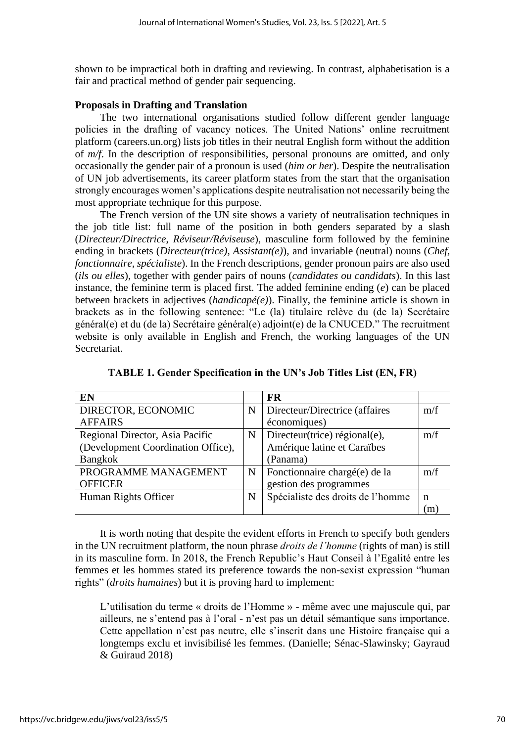shown to be impractical both in drafting and reviewing. In contrast, alphabetisation is a fair and practical method of gender pair sequencing.

# **Proposals in Drafting and Translation**

The two international organisations studied follow different gender language policies in the drafting of vacancy notices. The United Nations' online recruitment platform (careers.un.org) lists job titles in their neutral English form without the addition of *m/f*. In the description of responsibilities, personal pronouns are omitted, and only occasionally the gender pair of a pronoun is used (*him or her*). Despite the neutralisation of UN job advertisements, its career platform states from the start that the organisation strongly encourages women's applications despite neutralisation not necessarily being the most appropriate technique for this purpose.

The French version of the UN site shows a variety of neutralisation techniques in the job title list: full name of the position in both genders separated by a slash (*Directeur/Directrice*, *Réviseur/Réviseuse*), masculine form followed by the feminine ending in brackets (*Directeur(trice), Assistant(e)*), and invariable (neutral) nouns (*Chef, fonctionnaire, spécialiste*). In the French descriptions, gender pronoun pairs are also used (*ils ou elles*), together with gender pairs of nouns (*candidates ou candidats*). In this last instance, the feminine term is placed first. The added feminine ending (*e*) can be placed between brackets in adjectives (*handicapé(e)*). Finally, the feminine article is shown in brackets as in the following sentence: "Le (la) titulaire relève du (de la) Secrétaire général(e) et du (de la) Secrétaire général(e) adjoint(e) de la CNUCED." The recruitment website is only available in English and French, the working languages of the UN Secretariat.

| EN                                 |             | <b>FR</b>                         |     |
|------------------------------------|-------------|-----------------------------------|-----|
| DIRECTOR, ECONOMIC                 | $\mathbf N$ | Directeur/Directrice (affaires    | m/f |
| <b>AFFAIRS</b>                     |             | économiques)                      |     |
| Regional Director, Asia Pacific    | N           | Directeur(trice) régional(e),     | m/f |
| (Development Coordination Office), |             | Amérique latine et Caraïbes       |     |
| <b>Bangkok</b>                     |             | (Panama)                          |     |
| PROGRAMME MANAGEMENT               | $\mathbf N$ | Fonctionnaire chargé(e) de la     | m/f |
| <b>OFFICER</b>                     |             | gestion des programmes            |     |
| Human Rights Officer               | N           | Spécialiste des droits de l'homme | n   |
|                                    |             |                                   | m   |

**TABLE 1. Gender Specification in the UN's Job Titles List (EN, FR)**

It is worth noting that despite the evident efforts in French to specify both genders in the UN recruitment platform, the noun phrase *droits de l'homme* (rights of man) is still in its masculine form. In 2018, the French Republic's Haut Conseil à l'Egalité entre les femmes et les hommes stated its preference towards the non-sexist expression "human rights" (*droits humaines*) but it is proving hard to implement:

L'utilisation du terme « droits de l'Homme » - même avec une majuscule qui, par ailleurs, ne s'entend pas à l'oral - n'est pas un détail sémantique sans importance. Cette appellation n'est pas neutre, elle s'inscrit dans une Histoire française qui a longtemps exclu et invisibilisé les femmes. (Danielle; Sénac-Slawinsky; Gayraud & Guiraud 2018)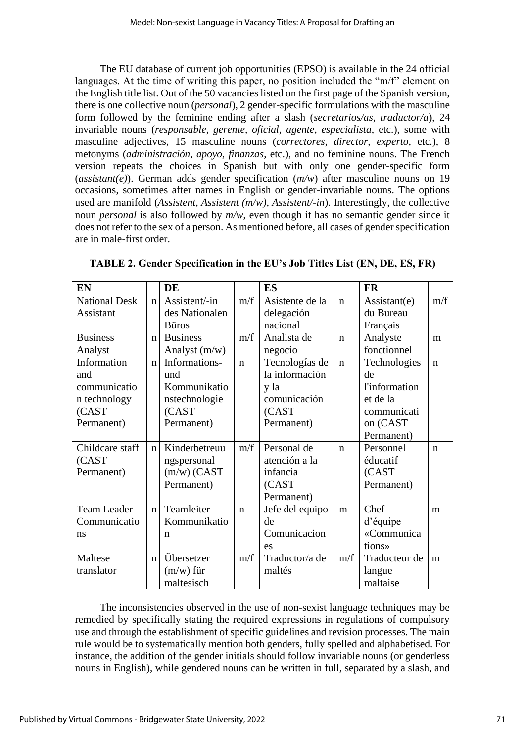The EU database of current job opportunities (EPSO) is available in the 24 official languages. At the time of writing this paper, no position included the "m/f" element on the English title list. Out of the 50 vacancies listed on the first page of the Spanish version, there is one collective noun (*personal*), 2 gender-specific formulations with the masculine form followed by the feminine ending after a slash (*secretarios/as, traductor/a*), 24 invariable nouns (*responsable, gerente, oficial, agente, especialista*, etc.), some with masculine adjectives, 15 masculine nouns (*correctores, director, experto*, etc.), 8 metonyms (*administración, apoyo, finanzas*, etc.), and no feminine nouns. The French version repeats the choices in Spanish but with only one gender-specific form (*assistant(e)*). German adds gender specification (*m/w*) after masculine nouns on 19 occasions, sometimes after names in English or gender-invariable nouns. The options used are manifold (*Assistent, Assistent (m/w), Assistent/-in*). Interestingly, the collective noun *personal* is also followed by *m/w*, even though it has no semantic gender since it does not refer to the sex of a person. As mentioned before, all cases of gender specification are in male-first order.

| EN                   |             | <b>DE</b>       |             | <b>ES</b>       |             | <b>FR</b>            |              |
|----------------------|-------------|-----------------|-------------|-----------------|-------------|----------------------|--------------|
| <b>National Desk</b> | $\mathbf n$ | Assistent/-in   | m/f         | Asistente de la | $\mathbf n$ | Assistant(e)         | m/f          |
| Assistant            |             | des Nationalen  |             | delegación      |             | du Bureau            |              |
|                      |             | <b>Büros</b>    |             | nacional        |             | Français             |              |
| <b>Business</b>      | $\mathbf n$ | <b>Business</b> | m/f         | Analista de     | $\mathbf n$ | Analyste             | m            |
| Analyst              |             | Analyst $(m/w)$ |             | negocio         |             | fonctionnel          |              |
| Information          | $\mathbf n$ | Informations-   | $\mathbf n$ | Tecnologías de  | $\mathbf n$ | Technologies         | $\mathbf n$  |
| and                  |             | und             |             | la información  |             | de                   |              |
| communicatio         |             | Kommunikatio    |             | y la            |             | <i>l'information</i> |              |
| n technology         |             | nstechnologie   |             | comunicación    |             | et de la             |              |
| (CAST                |             | (CAST           |             | (CAST           |             | communicati          |              |
| Permanent)           |             | Permanent)      |             | Permanent)      |             | on (CAST             |              |
|                      |             |                 |             |                 |             | Permanent)           |              |
| Childcare staff      | $\mathbf n$ | Kinderbetreuu   | m/f         | Personal de     | $\mathbf n$ | Personnel            | $\mathsf{n}$ |
| (CAST                |             | ngspersonal     |             | atención a la   |             | éducatif             |              |
| Permanent)           |             | $(m/w)$ (CAST   |             | infancia        |             | (CAST                |              |
|                      |             | Permanent)      |             | (CAST           |             | Permanent)           |              |
|                      |             |                 |             | Permanent)      |             |                      |              |
| Team Leader-         | $\mathbf n$ | Teamleiter      | $\mathbf n$ | Jefe del equipo | m           | Chef                 | m            |
| Communicatio         |             | Kommunikatio    |             | de              |             | d'équipe             |              |
| ns                   |             | n               |             | Comunicacion    |             | «Communica           |              |
|                      |             |                 |             | es              |             | tions»               |              |
| Maltese              | $\mathbf n$ | Übersetzer      | m/f         | Traductor/a de  | m/f         | Traducteur de        | m            |
| translator           |             | $(m/w)$ für     |             | maltés          |             | langue               |              |
|                      |             | maltesisch      |             |                 |             | maltaise             |              |

**TABLE 2. Gender Specification in the EU's Job Titles List (EN, DE, ES, FR)**

The inconsistencies observed in the use of non-sexist language techniques may be remedied by specifically stating the required expressions in regulations of compulsory use and through the establishment of specific guidelines and revision processes. The main rule would be to systematically mention both genders, fully spelled and alphabetised. For instance, the addition of the gender initials should follow invariable nouns (or genderless nouns in English), while gendered nouns can be written in full, separated by a slash, and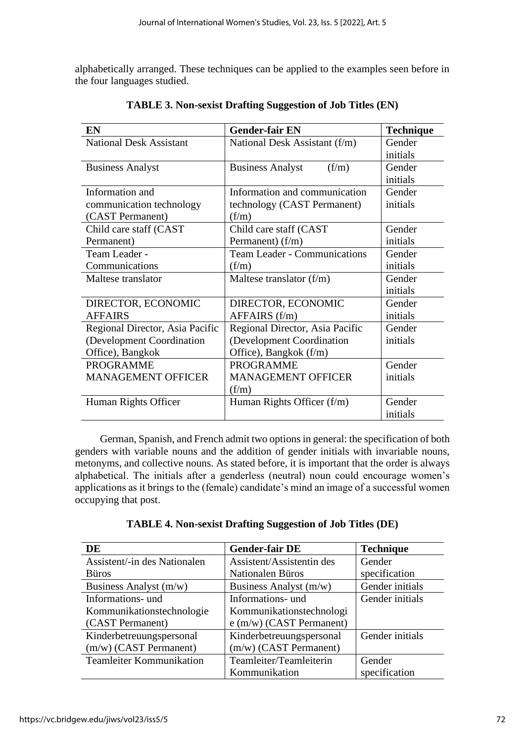alphabetically arranged. These techniques can be applied to the examples seen before in the four languages studied.

| EN                              | <b>Gender-fair EN</b>              | <b>Technique</b>   |
|---------------------------------|------------------------------------|--------------------|
| <b>National Desk Assistant</b>  | National Desk Assistant (f/m)      | Gender             |
|                                 |                                    | initials           |
| <b>Business Analyst</b>         | <b>Business Analyst</b><br>(f/m)   | Gender             |
|                                 |                                    | initials           |
| Information and                 | Information and communication      | Gender             |
| communication technology        | technology (CAST Permanent)        | initials           |
| (CAST Permanent)                | (f/m)                              |                    |
| Child care staff (CAST          | Child care staff (CAST)            | Gender             |
| Permanent)                      | Permanent) $(f/m)$                 | initials           |
| Team Leader -                   | Team Leader - Communications       | Gender             |
| Communications                  | (f/m)                              | initials           |
| Maltese translator              | Maltese translator $(f/m)$         | Gender             |
|                                 |                                    | initials           |
| DIRECTOR, ECONOMIC              | DIRECTOR, ECONOMIC                 | Gender             |
| <b>AFFAIRS</b>                  | $AFFAIRS$ (f/m)                    | initials           |
| Regional Director, Asia Pacific | Regional Director, Asia Pacific    | Gender             |
| (Development Coordination)      | (Development Coordination          | initials           |
| Office), Bangkok                | Office), Bangkok (f/m)             |                    |
| <b>PROGRAMME</b>                | <b>PROGRAMME</b>                   | Gender             |
| <b>MANAGEMENT OFFICER</b>       | <b>MANAGEMENT OFFICER</b><br>(f/m) | initials           |
| Human Rights Officer            | Human Rights Officer (f/m)         | Gender<br>initials |

**TABLE 3. Non-sexist Drafting Suggestion of Job Titles (EN)**

German, Spanish, and French admit two options in general: the specification of both genders with variable nouns and the addition of gender initials with invariable nouns, metonyms, and collective nouns. As stated before, it is important that the order is always alphabetical. The initials after a genderless (neutral) noun could encourage women's applications as it brings to the (female) candidate's mind an image of a successful women occupying that post.

| DE                              | <b>Gender-fair DE</b>      | <b>Technique</b> |
|---------------------------------|----------------------------|------------------|
| Assistent/-in des Nationalen    | Assistent/Assistentin des  | Gender           |
| <b>B</b> uros                   | Nationalen Büros           | specification    |
| Business Analyst (m/w)          | Business Analyst (m/w)     | Gender initials  |
| Informations- und               | Informations- und          | Gender initials  |
| Kommunikationstechnologie       | Kommunikationstechnologi   |                  |
| (CAST Permanent)                | $e$ (m/w) (CAST Permanent) |                  |
| Kinderbetreuungspersonal        | Kinderbetreuungspersonal   | Gender initials  |
| $(m/w)$ (CAST Permanent)        | (m/w) (CAST Permanent)     |                  |
| <b>Teamleiter Kommunikation</b> | Teamleiter/Teamleiterin    | Gender           |
|                                 | Kommunikation              | specification    |

**TABLE 4. Non-sexist Drafting Suggestion of Job Titles (DE)**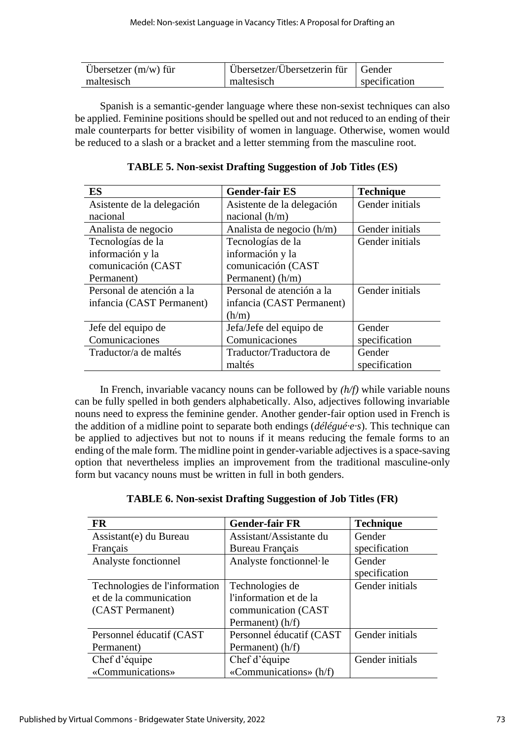| Ubersetzer $(m/w)$ für | Ubersetzer/Übersetzerin für   Gender |               |
|------------------------|--------------------------------------|---------------|
| maltesisch             | maltesisch                           | specification |

Spanish is a semantic-gender language where these non-sexist techniques can also be applied. Feminine positions should be spelled out and not reduced to an ending of their male counterparts for better visibility of women in language. Otherwise, women would be reduced to a slash or a bracket and a letter stemming from the masculine root.

| <b>ES</b>                  | <b>Gender-fair ES</b>      | <b>Technique</b> |
|----------------------------|----------------------------|------------------|
| Asistente de la delegación | Asistente de la delegación | Gender initials  |
| nacional                   | nacional $(h/m)$           |                  |
| Analista de negocio        | Analista de negocio (h/m)  | Gender initials  |
| Tecnologías de la          | Tecnologías de la          | Gender initials  |
| información y la           | información y la           |                  |
| comunicación (CAST         | comunicación (CAST         |                  |
| Permanent)                 | Permanent) $(h/m)$         |                  |
| Personal de atención a la  | Personal de atención a la  | Gender initials  |
| infancia (CAST Permanent)  | infancia (CAST Permanent)  |                  |
|                            | (h/m)                      |                  |
| Jefe del equipo de         | Jefa/Jefe del equipo de    | Gender           |
| Comunicaciones             | Comunicaciones             | specification    |
| Traductor/a de maltés      | Traductor/Traductora de    | Gender           |
|                            | maltés                     | specification    |

**TABLE 5. Non-sexist Drafting Suggestion of Job Titles (ES)**

In French, invariable vacancy nouns can be followed by *(h/f)* while variable nouns can be fully spelled in both genders alphabetically. Also, adjectives following invariable nouns need to express the feminine gender. Another gender-fair option used in French is the addition of a midline point to separate both endings (*délégué·e·s*). This technique can be applied to adjectives but not to nouns if it means reducing the female forms to an ending of the male form. The midline point in gender-variable adjectives is a space-saving option that nevertheless implies an improvement from the traditional masculine-only form but vacancy nouns must be written in full in both genders.

| <b>FR</b>                     | <b>Gender-fair FR</b>    | <b>Technique</b> |
|-------------------------------|--------------------------|------------------|
| Assistant(e) du Bureau        | Assistant/Assistante du  | Gender           |
| Français                      | Bureau Français          | specification    |
| Analyste fonctionnel          | Analyste fonctionnel·le  | Gender           |
|                               |                          | specification    |
| Technologies de l'information | Technologies de          | Gender initials  |
| et de la communication        | l'information et de la   |                  |
| (CAST Permanent)              | communication (CAST)     |                  |
|                               | Permanent) (h/f)         |                  |
| Personnel éducatif (CAST)     | Personnel éducatif (CAST | Gender initials  |
| Permanent)                    | Permanent) (h/f)         |                  |
| Chef d'équipe                 | Chef d'équipe            | Gender initials  |
| «Communications»              | «Communications» (h/f)   |                  |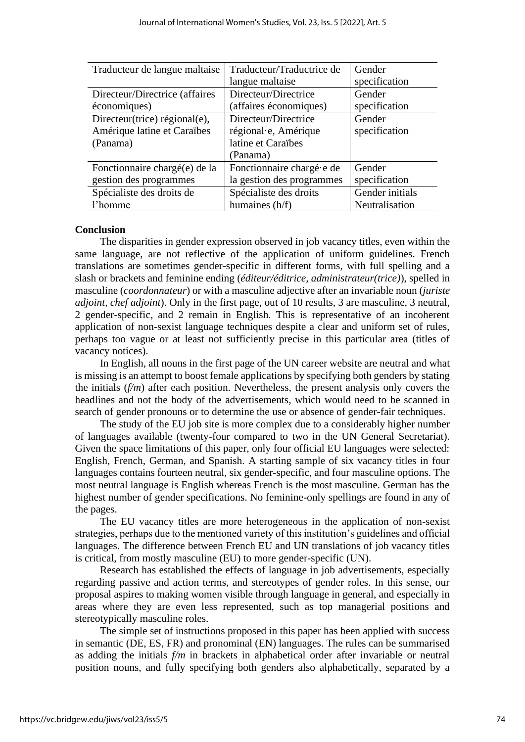| Traducteur de langue maltaise   | Traducteur/Traductrice de | Gender          |
|---------------------------------|---------------------------|-----------------|
|                                 | langue maltaise           | specification   |
| Directeur/Directrice (affaires) | Directeur/Directrice      | Gender          |
| économiques)                    | (affaires économiques)    | specification   |
| Directeur(trice) régional(e),   | Directeur/Directrice      | Gender          |
| Amérique latine et Caraïbes     | régional·e, Amérique      | specification   |
| (Panama)                        | latine et Caraïbes        |                 |
|                                 | (Panama)                  |                 |
| Fonctionnaire chargé(e) de la   | Fonctionnaire chargé e de | Gender          |
| gestion des programmes          | la gestion des programmes | specification   |
| Spécialiste des droits de       | Spécialiste des droits    | Gender initials |
| l'homme                         | humaines (h/f)            | Neutralisation  |

#### **Conclusion**

The disparities in gender expression observed in job vacancy titles, even within the same language, are not reflective of the application of uniform guidelines. French translations are sometimes gender-specific in different forms, with full spelling and a slash or brackets and feminine ending (*éditeur/éditrice, administrateur(trice)*), spelled in masculine (*coordonnateur*) or with a masculine adjective after an invariable noun (*juriste adjoint, chef adjoint*). Only in the first page, out of 10 results, 3 are masculine, 3 neutral, 2 gender-specific, and 2 remain in English. This is representative of an incoherent application of non-sexist language techniques despite a clear and uniform set of rules, perhaps too vague or at least not sufficiently precise in this particular area (titles of vacancy notices).

In English, all nouns in the first page of the UN career website are neutral and what is missing is an attempt to boost female applications by specifying both genders by stating the initials (*f/m*) after each position. Nevertheless, the present analysis only covers the headlines and not the body of the advertisements, which would need to be scanned in search of gender pronouns or to determine the use or absence of gender-fair techniques.

The study of the EU job site is more complex due to a considerably higher number of languages available (twenty-four compared to two in the UN General Secretariat). Given the space limitations of this paper, only four official EU languages were selected: English, French, German, and Spanish. A starting sample of six vacancy titles in four languages contains fourteen neutral, six gender-specific, and four masculine options. The most neutral language is English whereas French is the most masculine. German has the highest number of gender specifications. No feminine-only spellings are found in any of the pages.

The EU vacancy titles are more heterogeneous in the application of non-sexist strategies, perhaps due to the mentioned variety of this institution's guidelines and official languages. The difference between French EU and UN translations of job vacancy titles is critical, from mostly masculine (EU) to more gender-specific (UN).

Research has established the effects of language in job advertisements, especially regarding passive and action terms, and stereotypes of gender roles. In this sense, our proposal aspires to making women visible through language in general, and especially in areas where they are even less represented, such as top managerial positions and stereotypically masculine roles.

The simple set of instructions proposed in this paper has been applied with success in semantic (DE, ES, FR) and pronominal (EN) languages. The rules can be summarised as adding the initials *f/m* in brackets in alphabetical order after invariable or neutral position nouns, and fully specifying both genders also alphabetically, separated by a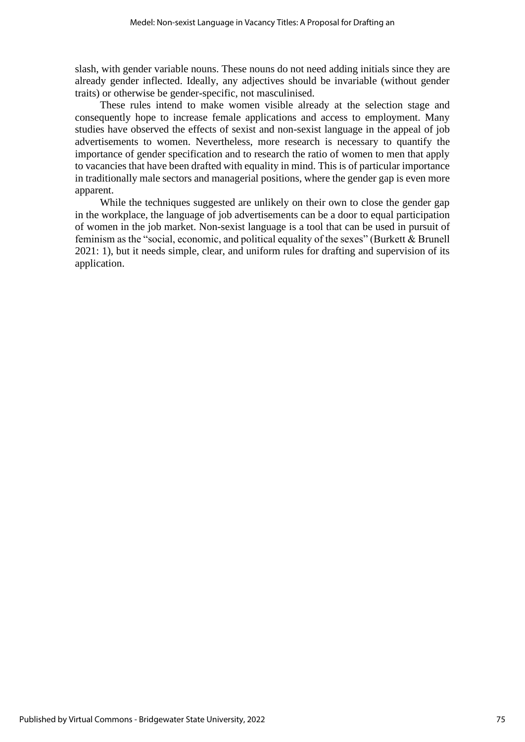slash, with gender variable nouns. These nouns do not need adding initials since they are already gender inflected. Ideally, any adjectives should be invariable (without gender traits) or otherwise be gender-specific, not masculinised.

These rules intend to make women visible already at the selection stage and consequently hope to increase female applications and access to employment. Many studies have observed the effects of sexist and non-sexist language in the appeal of job advertisements to women. Nevertheless, more research is necessary to quantify the importance of gender specification and to research the ratio of women to men that apply to vacancies that have been drafted with equality in mind. This is of particular importance in traditionally male sectors and managerial positions, where the gender gap is even more apparent.

While the techniques suggested are unlikely on their own to close the gender gap in the workplace, the language of job advertisements can be a door to equal participation of women in the job market. Non-sexist language is a tool that can be used in pursuit of feminism as the "social, economic, and political equality of the sexes" (Burkett & Brunell 2021: 1), but it needs simple, clear, and uniform rules for drafting and supervision of its application.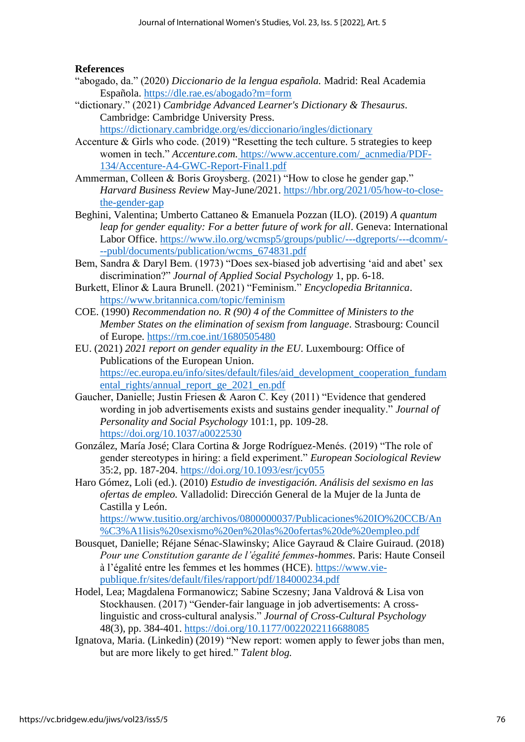# **References**

- "abogado, da." (2020) *Diccionario de la lengua española.* Madrid: Real Academia Española.<https://dle.rae.es/abogado?m=form>
- "dictionary." (2021) *Cambridge Advanced Learner's Dictionary & Thesaurus*. Cambridge: Cambridge University Press. <https://dictionary.cambridge.org/es/diccionario/ingles/dictionary>
- Accenture & Girls who code. (2019) "Resetting the tech culture. 5 strategies to keep women in tech." *Accenture.com.* https://www.accenture.com/\_acnmedia/PDF-134/Accenture-A4-GWC-Report-Final1.pdf
- Ammerman, Colleen & Boris Groysberg. (2021) "How to close he gender gap." *Harvard Business Review* May-June/2021. [https://hbr.org/2021/05/how-to-close](https://hbr.org/2021/05/how-to-close-the-gender-gap)[the-gender-gap](https://hbr.org/2021/05/how-to-close-the-gender-gap)
- Beghini, Valentina; Umberto Cattaneo & Emanuela Pozzan (ILO). (2019) *A quantum leap for gender equality: For a better future of work for all. Geneva: International* Labor Office. [https://www.ilo.org/wcmsp5/groups/public/---dgreports/---dcomm/-](https://www.ilo.org/wcmsp5/groups/public/---dgreports/---dcomm/---publ/documents/publication/wcms_674831.pdf) [--publ/documents/publication/wcms\\_674831.pdf](https://www.ilo.org/wcmsp5/groups/public/---dgreports/---dcomm/---publ/documents/publication/wcms_674831.pdf)
- Bem, Sandra & Daryl Bem. (1973) "Does sex-biased job advertising 'aid and abet' sex discrimination?" *Journal of Applied Social Psychology* 1, pp. 6-18.
- Burkett, Elinor & Laura Brunell. (2021) "Feminism." *Encyclopedia Britannica*. <https://www.britannica.com/topic/feminism>
- COE. (1990) *Recommendation no. R (90) 4 of the Committee of Ministers to the Member States on the elimination of sexism from language*. Strasbourg: Council of Europe.<https://rm.coe.int/1680505480>
- EU. (2021) *2021 report on gender equality in the EU*. Luxembourg: Office of Publications of the European Union. [https://ec.europa.eu/info/sites/default/files/aid\\_development\\_cooperation\\_fundam](https://ec.europa.eu/info/sites/default/files/aid_development_cooperation_fundamental_rights/annual_report_ge_2021_en.pdf) [ental\\_rights/annual\\_report\\_ge\\_2021\\_en.pdf](https://ec.europa.eu/info/sites/default/files/aid_development_cooperation_fundamental_rights/annual_report_ge_2021_en.pdf)
- Gaucher, Danielle; Justin Friesen & Aaron C. Key (2011) "Evidence that gendered wording in job advertisements exists and sustains gender inequality." *Journal of Personality and Social Psychology* 101:1, pp. 109-28. <https://doi.org/10.1037/a0022530>
- González, María José; Clara Cortina & Jorge Rodríguez-Menés. (2019) "The role of gender stereotypes in hiring: a field experiment." *European Sociological Review*  35:2, pp. 187-204.<https://doi.org/10.1093/esr/jcy055>
- Haro Gómez, Loli (ed.). (2010) *Estudio de investigación. Análisis del sexismo en las ofertas de empleo.* Valladolid: Dirección General de la Mujer de la Junta de Castilla y León.

[https://www.tusitio.org/archivos/0800000037/Publicaciones%20IO%20CCB/An](https://www.tusitio.org/archivos/0800000037/Publicaciones%20IO%20CCB/An%C3%A1lisis%20sexismo%20en%20las%20ofertas%20de%20empleo.pdf) [%C3%A1lisis%20sexismo%20en%20las%20ofertas%20de%20empleo.pdf](https://www.tusitio.org/archivos/0800000037/Publicaciones%20IO%20CCB/An%C3%A1lisis%20sexismo%20en%20las%20ofertas%20de%20empleo.pdf)

- Bousquet, Danielle; Réjane Sénac-Slawinsky; Alice Gayraud & Claire Guiraud. (2018) *Pour une Constitution garante de l'égalité femmes-hommes*. Paris: Haute Conseil à l'égalité entre les femmes et les hommes (HCE). [https://www.vie](https://www.vie-publique.fr/sites/default/files/rapport/pdf/184000234.pdf)[publique.fr/sites/default/files/rapport/pdf/184000234.pdf](https://www.vie-publique.fr/sites/default/files/rapport/pdf/184000234.pdf)
- Hodel, Lea; Magdalena Formanowicz; Sabine Sczesny; Jana Valdrová & Lisa von Stockhausen. (2017) "Gender-fair language in job advertisements: A crosslinguistic and cross-cultural analysis." *Journal of Cross-Cultural Psychology*  48(3), pp. 384-401.<https://doi.org/10.1177/0022022116688085>
- Ignatova, Maria. (Linkedin) (2019) "New report: women apply to fewer jobs than men, but are more likely to get hired." *Talent blog.*